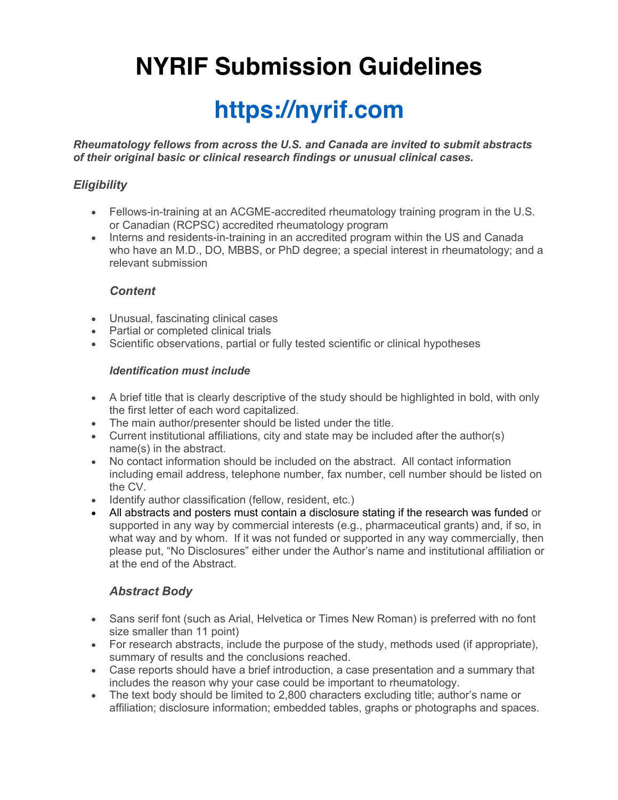# **NYRIF Submission Guidelines**

## **https://nyrif.com**

*Rheumatology fellows from across the U.S. and Canada are invited to submit abstracts of their original basic or clinical research findings or unusual clinical cases.* 

## *Eligibility*

- Fellows-in-training at an ACGME-accredited rheumatology training program in the U.S. or Canadian (RCPSC) accredited rheumatology program
- Interns and residents-in-training in an accredited program within the US and Canada who have an M.D., DO, MBBS, or PhD degree; a special interest in rheumatology; and a relevant submission

#### *Content*

- Unusual, fascinating clinical cases
- Partial or completed clinical trials
- Scientific observations, partial or fully tested scientific or clinical hypotheses

#### *Identification must include*

- A brief title that is clearly descriptive of the study should be highlighted in bold, with only the first letter of each word capitalized.
- The main author/presenter should be listed under the title.
- Current institutional affiliations, city and state may be included after the author(s) name(s) in the abstract.
- No contact information should be included on the abstract. All contact information including email address, telephone number, fax number, cell number should be listed on the CV.
- Identify author classification (fellow, resident, etc.)
- All abstracts and posters must contain a disclosure stating if the research was funded or supported in any way by commercial interests (e.g., pharmaceutical grants) and, if so, in what way and by whom. If it was not funded or supported in any way commercially, then please put, "No Disclosures" either under the Author's name and institutional affiliation or at the end of the Abstract.

## *Abstract Body*

- Sans serif font (such as Arial, Helvetica or Times New Roman) is preferred with no font size smaller than 11 point)
- For research abstracts, include the purpose of the study, methods used (if appropriate), summary of results and the conclusions reached.
- Case reports should have a brief introduction, a case presentation and a summary that includes the reason why your case could be important to rheumatology.
- The text body should be limited to 2,800 characters excluding title; author's name or affiliation; disclosure information; embedded tables, graphs or photographs and spaces.